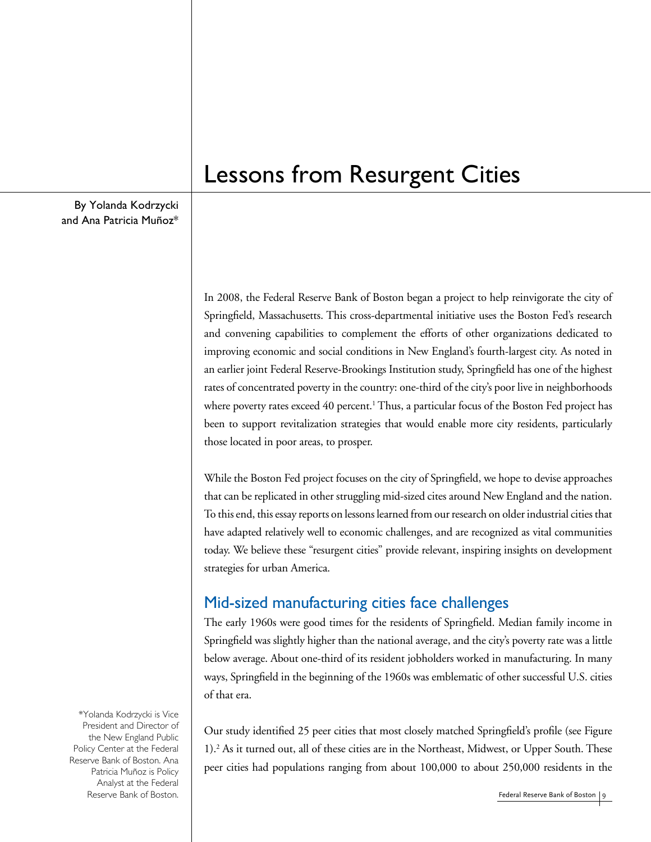By Yolanda Kodrzycki and Ana Patricia Muñoz\*

# Lessons from Resurgent Cities

In 2008, the Federal Reserve Bank of Boston began a project to help reinvigorate the city of Springfield, Massachusetts. This cross-departmental initiative uses the Boston Fed's research and convening capabilities to complement the efforts of other organizations dedicated to improving economic and social conditions in New England's fourth-largest city. As noted in an earlier joint Federal Reserve-Brookings Institution study, Springfield has one of the highest rates of concentrated poverty in the country: one-third of the city's poor live in neighborhoods where poverty rates exceed 40 percent.<sup>1</sup> Thus, a particular focus of the Boston Fed project has been to support revitalization strategies that would enable more city residents, particularly those located in poor areas, to prosper.

While the Boston Fed project focuses on the city of Springfield, we hope to devise approaches that can be replicated in other struggling mid-sized cites around New England and the nation. To this end, this essay reports on lessons learned from our research on older industrial cities that have adapted relatively well to economic challenges, and are recognized as vital communities today. We believe these "resurgent cities" provide relevant, inspiring insights on development strategies for urban America.

# Mid-sized manufacturing cities face challenges

The early 1960s were good times for the residents of Springfield. Median family income in Springfield was slightly higher than the national average, and the city's poverty rate was a little below average. About one-third of its resident jobholders worked in manufacturing. In many ways, Springfield in the beginning of the 1960s was emblematic of other successful U.S. cities of that era.

Our study identified 25 peer cities that most closely matched Springfield's profile (see Figure 1).2 As it turned out, all of these cities are in the Northeast, Midwest, or Upper South. These peer cities had populations ranging from about 100,000 to about 250,000 residents in the

\*Yolanda Kodrzycki is Vice President and Director of the New England Public Policy Center at the Federal Reserve Bank of Boston. Ana Patricia Muñoz is Policy Analyst at the Federal Reserve Bank of Boston.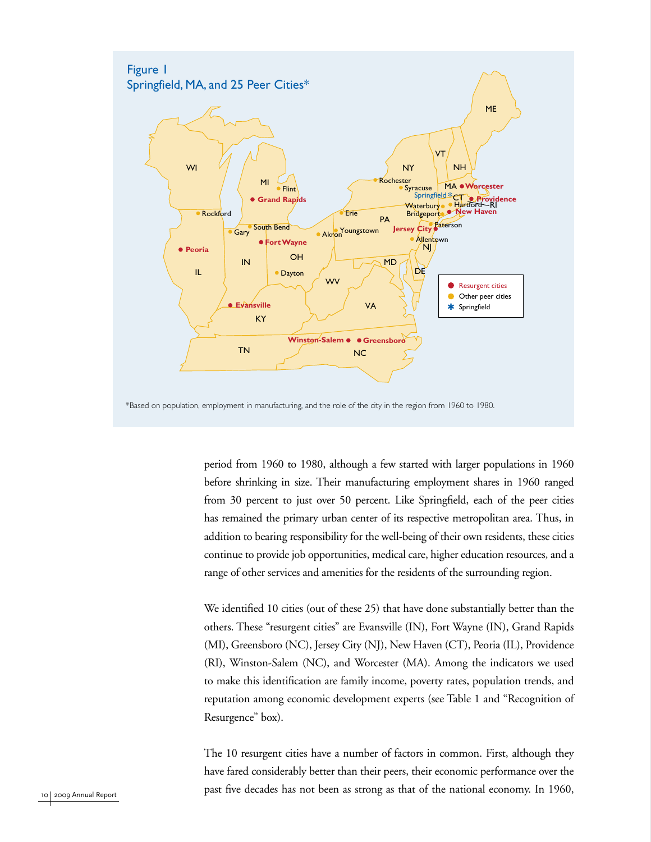

period from 1960 to 1980, although a few started with larger populations in 1960 before shrinking in size. Their manufacturing employment shares in 1960 ranged from 30 percent to just over 50 percent. Like Springfield, each of the peer cities has remained the primary urban center of its respective metropolitan area. Thus, in addition to bearing responsibility for the well-being of their own residents, these cities continue to provide job opportunities, medical care, higher education resources, and a range of other services and amenities for the residents of the surrounding region.

We identified 10 cities (out of these 25) that have done substantially better than the others. These "resurgent cities" are Evansville (IN), Fort Wayne (IN), Grand Rapids (MI), Greensboro (NC), Jersey City (NJ), New Haven (CT), Peoria (IL), Providence (RI), Winston-Salem (NC), and Worcester (MA). Among the indicators we used to make this identification are family income, poverty rates, population trends, and reputation among economic development experts (see Table 1 and "Recognition of Resurgence" box).

The 10 resurgent cities have a number of factors in common. First, although they have fared considerably better than their peers, their economic performance over the past five decades has not been as strong as that of the national economy. In 1960,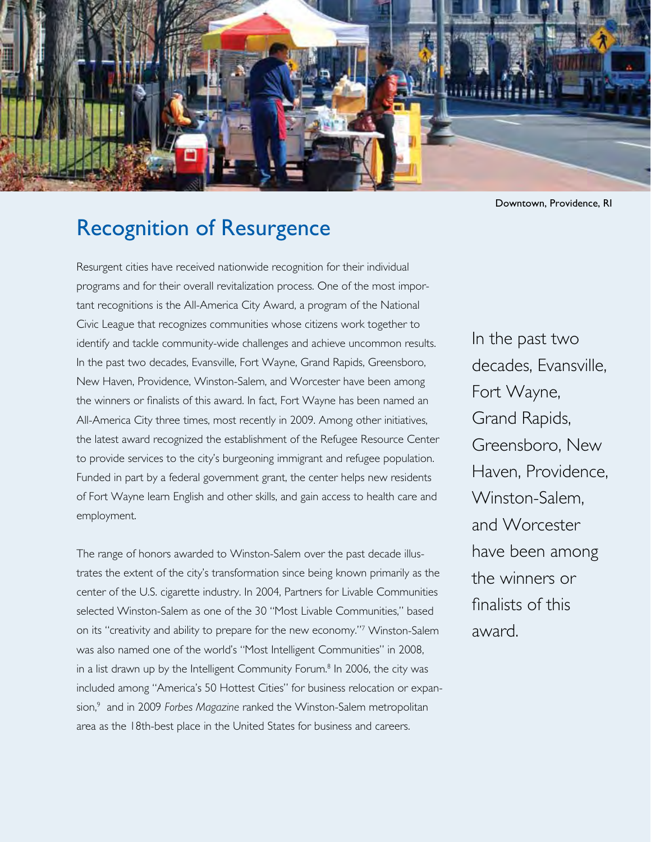

Downtown, Providence, RI

# Recognition of Resurgence

Resurgent cities have received nationwide recognition for their individual programs and for their overall revitalization process. One of the most important recognitions is the All-America City Award, a program of the National Civic League that recognizes communities whose citizens work together to identify and tackle community-wide challenges and achieve uncommon results. In the past two decades, Evansville, Fort Wayne, Grand Rapids, Greensboro, New Haven, Providence, Winston-Salem, and Worcester have been among the winners or finalists of this award. In fact, Fort Wayne has been named an All-America City three times, most recently in 2009. Among other initiatives, the latest award recognized the establishment of the Refugee Resource Center to provide services to the city's burgeoning immigrant and refugee population. Funded in part by a federal government grant, the center helps new residents of Fort Wayne learn English and other skills, and gain access to health care and employment.

The range of honors awarded to Winston-Salem over the past decade illustrates the extent of the city's transformation since being known primarily as the center of the U.S. cigarette industry. In 2004, Partners for Livable Communities selected Winston-Salem as one of the 30 "Most Livable Communities," based on its "creativity and ability to prepare for the new economy."7 Winston-Salem was also named one of the world's "Most Intelligent Communities" in 2008, in a list drawn up by the Intelligent Community Forum.<sup>8</sup> In 2006, the city was included among "America's 50 Hottest Cities" for business relocation or expansion,9 and in 2009 *Forbes Magazine* ranked the Winston-Salem metropolitan area as the 18th-best place in the United States for business and careers.

In the past two decades, Evansville, Fort Wayne, Grand Rapids, Greensboro, New Haven, Providence, Winston-Salem, and Worcester have been among the winners or finalists of this award.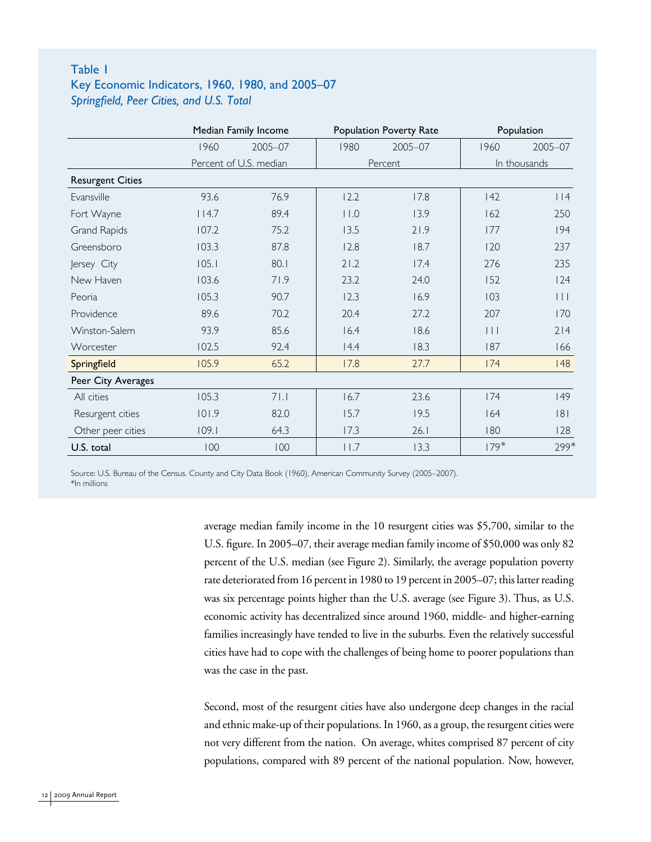### Table 1 Key Economic Indicators, 1960, 1980, and 2005–07 *Springfield, Peer Cities, and U.S. Total*

|                         | Median Family Income   |         |              | Population Poverty Rate | Population              |         |
|-------------------------|------------------------|---------|--------------|-------------------------|-------------------------|---------|
|                         | 1960                   | 2005-07 | 1980         | 2005-07                 | 1960                    | 2005-07 |
|                         | Percent of U.S. median |         |              | Percent                 | In thousands            |         |
| <b>Resurgent Cities</b> |                        |         |              |                         |                         |         |
| Evansville              | 93.6                   | 76.9    | 12.2         | 17.8                    | 142                     | $ $  4  |
| Fort Wayne              | 114.7                  | 89.4    | $ $   $ $ .0 | 13.9                    | 162                     | 250     |
| Grand Rapids            | 107.2                  | 75.2    | 13.5         | 21.9                    | 177                     | 194     |
| Greensboro              | 103.3                  | 87.8    | 12.8         | 18.7                    | 120                     | 237     |
| Jersey City             | 105.1                  | 80.1    | 21.2         | 17.4                    | 276                     | 235     |
| New Haven               | 103.6                  | 71.9    | 23.2         | 24.0                    | 152                     | 124     |
| Peoria                  | 105.3                  | 90.7    | 12.3         | 16.9                    | 103                     | $\Box$  |
| Providence              | 89.6                   | 70.2    | 20.4         | 27.2                    | 207                     | 170     |
| Winston-Salem           | 93.9                   | 85.6    | 16.4         | 18.6                    | $\vert \ \vert \ \vert$ | 214     |
| Worcester               | 102.5                  | 92.4    | 14.4         | 18.3                    | 187                     | 166     |
| Springfield             | 105.9                  | 65.2    | 17.8         | 27.7                    | 174                     | 48      |
| Peer City Averages      |                        |         |              |                         |                         |         |
| All cities              | 105.3                  | 71.1    | 16.7         | 23.6                    | 174                     | 49      |
| Resurgent cities        | 101.9                  | 82.0    | 15.7         | 19.5                    | 164                     | 8       |
| Other peer cities       | 109.1                  | 64.3    | 17.3         | 26.1                    | 180                     | 128     |
| U.S. total              | 100                    | 100     | 11.7         | 13.3                    | $179*$                  | 299*    |

Source: U.S. Bureau of the Census. County and City Data Book (1960), American Community Survey (2005–2007). \*In millions

> average median family income in the 10 resurgent cities was \$5,700, similar to the U.S. figure. In 2005–07, their average median family income of \$50,000 was only 82 percent of the U.S. median (see Figure 2). Similarly, the average population poverty rate deteriorated from 16 percent in 1980 to 19 percent in 2005–07; this latter reading was six percentage points higher than the U.S. average (see Figure 3). Thus, as U.S. economic activity has decentralized since around 1960, middle- and higher-earning families increasingly have tended to live in the suburbs. Even the relatively successful cities have had to cope with the challenges of being home to poorer populations than was the case in the past.

> Second, most of the resurgent cities have also undergone deep changes in the racial and ethnic make-up of their populations. In 1960, as a group, the resurgent cities were not very different from the nation. On average, whites comprised 87 percent of city populations, compared with 89 percent of the national population. Now, however,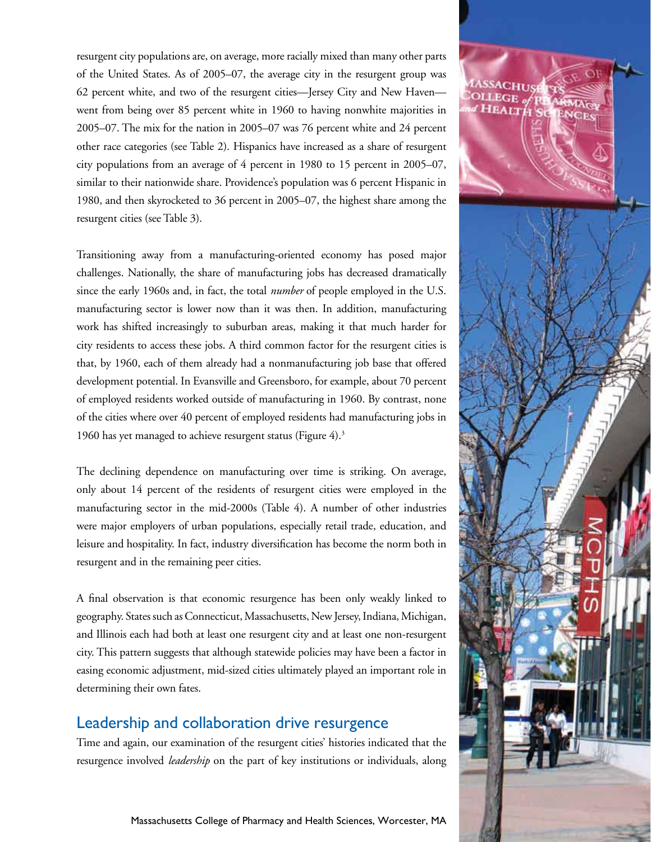resurgent city populations are, on average, more racially mixed than many other parts of the United States. As of 2005–07, the average city in the resurgent group was 62 percent white, and two of the resurgent cities—Jersey City and New Haven went from being over 85 percent white in 1960 to having nonwhite majorities in 2005–07. The mix for the nation in 2005–07 was 76 percent white and 24 percent other race categories (see Table 2). Hispanics have increased as a share of resurgent city populations from an average of 4 percent in 1980 to 15 percent in 2005–07, similar to their nationwide share. Providence's population was 6 percent Hispanic in 1980, and then skyrocketed to 36 percent in 2005–07, the highest share among the resurgent cities (see Table 3).

Transitioning away from a manufacturing-oriented economy has posed major challenges. Nationally, the share of manufacturing jobs has decreased dramatically since the early 1960s and, in fact, the total *number* of people employed in the U.S. manufacturing sector is lower now than it was then. In addition, manufacturing work has shifted increasingly to suburban areas, making it that much harder for city residents to access these jobs. A third common factor for the resurgent cities is that, by 1960, each of them already had a nonmanufacturing job base that offered development potential. In Evansville and Greensboro, for example, about 70 percent of employed residents worked outside of manufacturing in 1960. By contrast, none of the cities where over 40 percent of employed residents had manufacturing jobs in 1960 has yet managed to achieve resurgent status (Figure 4).<sup>3</sup>

The declining dependence on manufacturing over time is striking. On average, only about 14 percent of the residents of resurgent cities were employed in the manufacturing sector in the mid-2000s (Table 4). A number of other industries were major employers of urban populations, especially retail trade, education, and leisure and hospitality. In fact, industry diversification has become the norm both in resurgent and in the remaining peer cities.

A final observation is that economic resurgence has been only weakly linked to geography. States such as Connecticut, Massachusetts, New Jersey, Indiana, Michigan, and Illinois each had both at least one resurgent city and at least one non-resurgent city. This pattern suggests that although statewide policies may have been a factor in easing economic adjustment, mid-sized cities ultimately played an important role in determining their own fates.

# Leadership and collaboration drive resurgence

Time and again, our examination of the resurgent cities' histories indicated that the resurgence involved *leadership* on the part of key institutions or individuals, along

Massachusetts College of Pharmacy and Health Sciences, Worcester, MA

Federal Reserve Bank of Boston 13

HEALT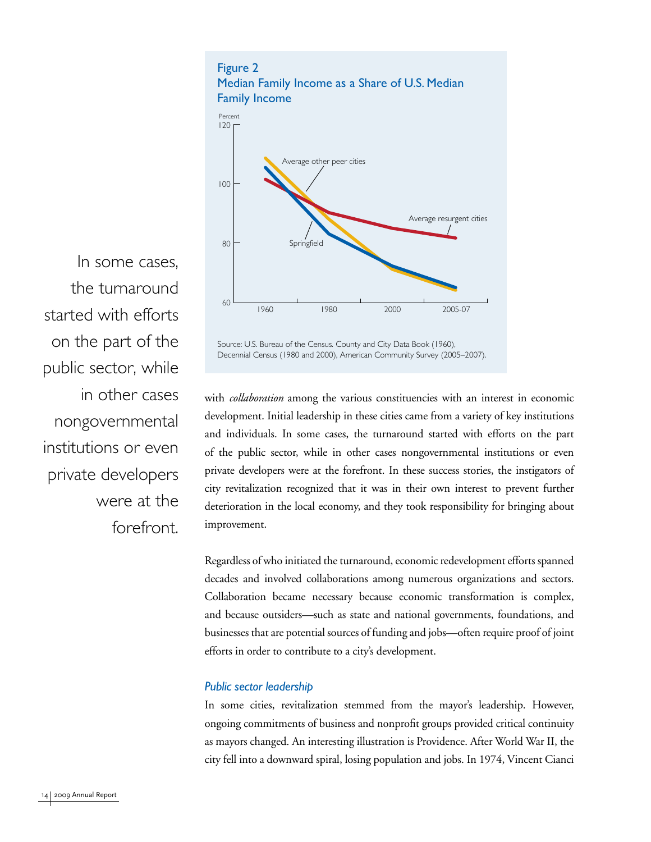



In some cases, the turnaround started with efforts on the part of the public sector, while in other cases nongovernmental institutions or even private developers were at the forefront.

Source: U.S. Bureau of the Census. County and City Data Book (1960), Decennial Census (1980 and 2000), American Community Survey (2005–2007).

with *collaboration* among the various constituencies with an interest in economic development. Initial leadership in these cities came from a variety of key institutions and individuals. In some cases, the turnaround started with efforts on the part of the public sector, while in other cases nongovernmental institutions or even private developers were at the forefront. In these success stories, the instigators of city revitalization recognized that it was in their own interest to prevent further deterioration in the local economy, and they took responsibility for bringing about improvement.

Regardless of who initiated the turnaround, economic redevelopment efforts spanned decades and involved collaborations among numerous organizations and sectors. Collaboration became necessary because economic transformation is complex, and because outsiders—such as state and national governments, foundations, and businesses that are potential sources of funding and jobs—often require proof of joint efforts in order to contribute to a city's development.

#### *Public sector leadership*

In some cities, revitalization stemmed from the mayor's leadership. However, ongoing commitments of business and nonprofit groups provided critical continuity as mayors changed. An interesting illustration is Providence. After World War II, the city fell into a downward spiral, losing population and jobs. In 1974, Vincent Cianci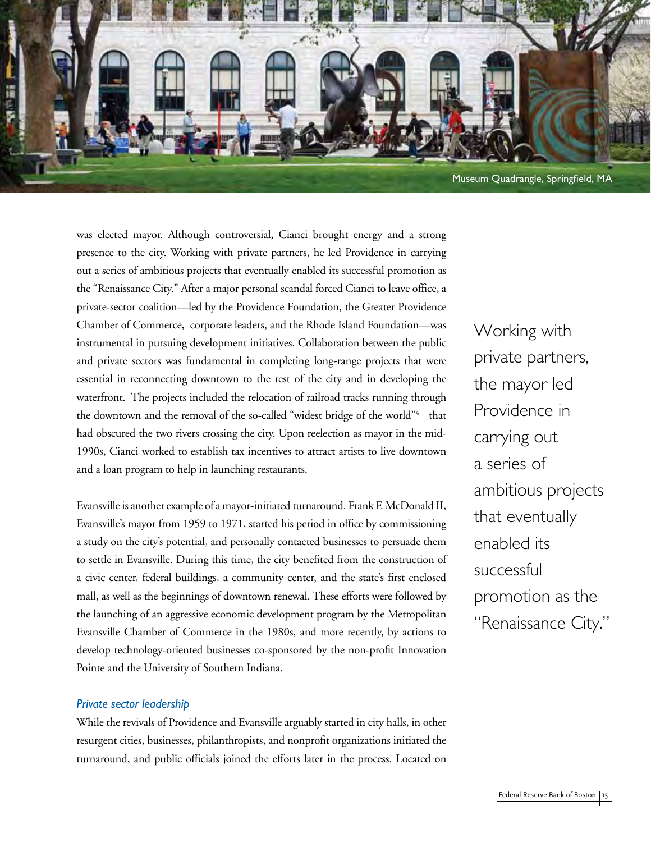

was elected mayor. Although controversial, Cianci brought energy and a strong presence to the city. Working with private partners, he led Providence in carrying out a series of ambitious projects that eventually enabled its successful promotion as the "Renaissance City." After a major personal scandal forced Cianci to leave office, a private-sector coalition—led by the Providence Foundation, the Greater Providence Chamber of Commerce, corporate leaders, and the Rhode Island Foundation—was instrumental in pursuing development initiatives. Collaboration between the public and private sectors was fundamental in completing long-range projects that were essential in reconnecting downtown to the rest of the city and in developing the waterfront. The projects included the relocation of railroad tracks running through the downtown and the removal of the so-called "widest bridge of the world"<sup>4</sup> that had obscured the two rivers crossing the city. Upon reelection as mayor in the mid-1990s, Cianci worked to establish tax incentives to attract artists to live downtown and a loan program to help in launching restaurants.

Evansville is another example of a mayor-initiated turnaround. Frank F. McDonald II, Evansville's mayor from 1959 to 1971, started his period in office by commissioning a study on the city's potential, and personally contacted businesses to persuade them to settle in Evansville. During this time, the city benefited from the construction of a civic center, federal buildings, a community center, and the state's first enclosed mall, as well as the beginnings of downtown renewal. These efforts were followed by the launching of an aggressive economic development program by the Metropolitan Evansville Chamber of Commerce in the 1980s, and more recently, by actions to develop technology-oriented businesses co-sponsored by the non-profit Innovation Pointe and the University of Southern Indiana.

#### *Private sector leadership*

While the revivals of Providence and Evansville arguably started in city halls, in other resurgent cities, businesses, philanthropists, and nonprofit organizations initiated the turnaround, and public officials joined the efforts later in the process. Located on Working with private partners, the mayor led Providence in carrying out a series of ambitious projects that eventually enabled its successful promotion as the "Renaissance City."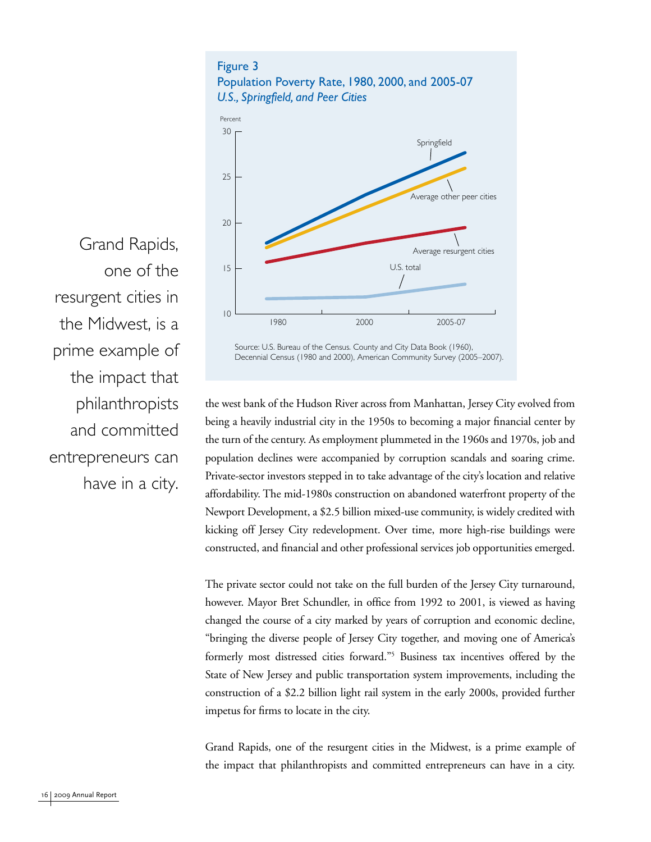

Grand Rapids, one of the resurgent cities in the Midwest, is a prime example of the impact that philanthropists and committed entrepreneurs can have in a city.

Source: U.S. Bureau of the Census. County and City Data Book (1960), Decennial Census (1980 and 2000), American Community Survey (2005–2007).

the west bank of the Hudson River across from Manhattan, Jersey City evolved from being a heavily industrial city in the 1950s to becoming a major financial center by the turn of the century. As employment plummeted in the 1960s and 1970s, job and population declines were accompanied by corruption scandals and soaring crime. Private-sector investors stepped in to take advantage of the city's location and relative affordability. The mid-1980s construction on abandoned waterfront property of the Newport Development, a \$2.5 billion mixed-use community, is widely credited with kicking off Jersey City redevelopment. Over time, more high-rise buildings were constructed, and financial and other professional services job opportunities emerged.

The private sector could not take on the full burden of the Jersey City turnaround, however. Mayor Bret Schundler, in office from 1992 to 2001, is viewed as having changed the course of a city marked by years of corruption and economic decline, "bringing the diverse people of Jersey City together, and moving one of America's formerly most distressed cities forward."5 Business tax incentives offered by the State of New Jersey and public transportation system improvements, including the construction of a \$2.2 billion light rail system in the early 2000s, provided further impetus for firms to locate in the city.

Grand Rapids, one of the resurgent cities in the Midwest, is a prime example of the impact that philanthropists and committed entrepreneurs can have in a city.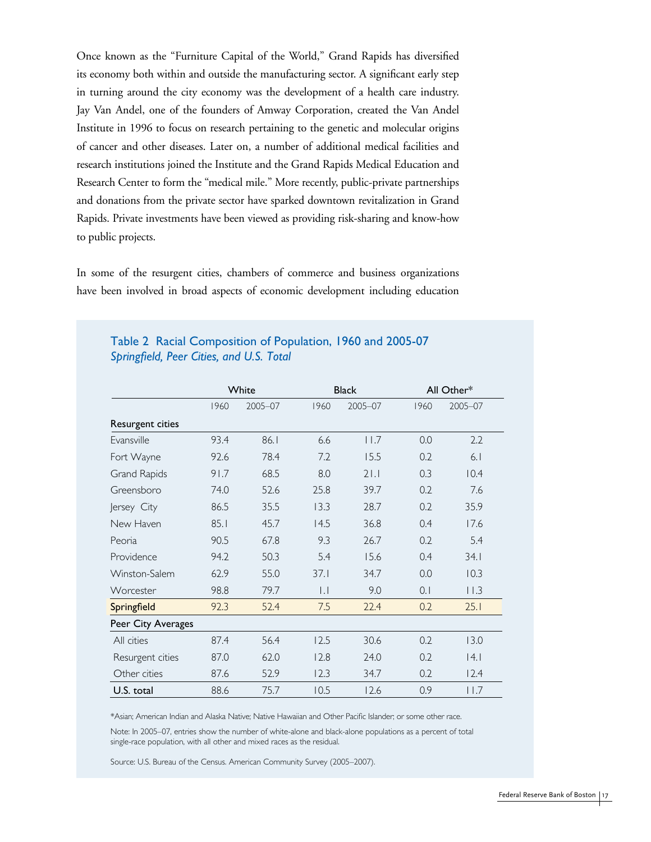Once known as the "Furniture Capital of the World," Grand Rapids has diversified its economy both within and outside the manufacturing sector. A significant early step in turning around the city economy was the development of a health care industry. Jay Van Andel, one of the founders of Amway Corporation, created the Van Andel Institute in 1996 to focus on research pertaining to the genetic and molecular origins of cancer and other diseases. Later on, a number of additional medical facilities and research institutions joined the Institute and the Grand Rapids Medical Education and Research Center to form the "medical mile." More recently, public-private partnerships and donations from the private sector have sparked downtown revitalization in Grand Rapids. Private investments have been viewed as providing risk-sharing and know-how to public projects.

In some of the resurgent cities, chambers of commerce and business organizations have been involved in broad aspects of economic development including education

|                     | White |         |                     | <b>Black</b> | All Other* |                 |  |
|---------------------|-------|---------|---------------------|--------------|------------|-----------------|--|
|                     | 1960  | 2005-07 | 1960                | 2005-07      | 1960       | 2005-07         |  |
| Resurgent cities    |       |         |                     |              |            |                 |  |
| Fvansville          | 93.4  | 86.1    | 6.6                 | 11.7         | 0.0        | 2.2             |  |
| Fort Wayne          | 92.6  | 78.4    | 7.2                 | 15.5         | 0.2        | 6.1             |  |
| <b>Grand Rapids</b> | 91.7  | 68.5    | 8.0                 | 21.1         | 0.3        | 10.4            |  |
| Greensboro          | 74.0  | 52.6    | 25.8                | 39.7         | 0.2        | 7.6             |  |
| Jersey City         | 86.5  | 35.5    | 13.3                | 28.7         | 0.2        | 35.9            |  |
| New Haven           | 85.1  | 45.7    | 14.5                | 36.8         | 0.4        | 17.6            |  |
| Peoria              | 90.5  | 67.8    | 9.3                 | 26.7         | 0.2        | 5.4             |  |
| Providence          | 94.2  | 50.3    | 5.4                 | 15.6         | 0.4        | 34.1            |  |
| Winston-Salem       | 62.9  | 55.0    | 37.1                | 34.7         | 0.0        | 10.3            |  |
| Worcester           | 98.8  | 79.7    | $\vert \cdot \vert$ | 9.0          | 0.1        | $ $ $ $ $ $ $ $ |  |
| Springfield         | 92.3  | 52.4    | 7.5                 | 22.4         | 0.2        | 25.1            |  |
| Peer City Averages  |       |         |                     |              |            |                 |  |
| All cities          | 87.4  | 56.4    | 12.5                | 30.6         | 0.2        | 13.0            |  |
| Resurgent cities    | 87.0  | 62.0    | 12.8                | 24.0         | 0.2        | 4.1             |  |
| Other cities        | 87.6  | 52.9    | 12.3                | 34.7         | 0.2        | 12.4            |  |
| U.S. total          | 88.6  | 75.7    | 10.5                | 12.6         | 0.9        | 11.7            |  |

### Table 2 Racial Composition of Population, 1960 and 2005-07 *Springfield, Peer Cities, and U.S. Total*

\*Asian; American Indian and Alaska Native; Native Hawaiian and Other Pacific Islander; or some other race.

Note: In 2005–07, entries show the number of white-alone and black-alone populations as a percent of total single-race population, with all other and mixed races as the residual.

Source: U.S. Bureau of the Census. American Community Survey (2005–2007).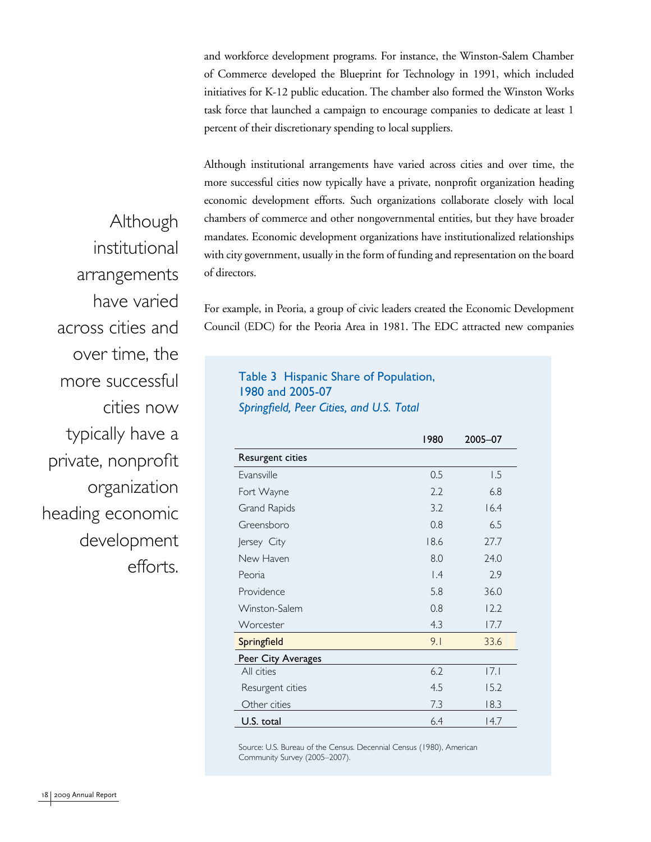and workforce development programs. For instance, the Winston-Salem Chamber of Commerce developed the Blueprint for Technology in 1991, which included initiatives for K-12 public education. The chamber also formed the Winston Works task force that launched a campaign to encourage companies to dedicate at least 1 percent of their discretionary spending to local suppliers.

Although institutional arrangements have varied across cities and over time, the more successful cities now typically have a private, nonprofit organization heading economic development efforts. Such organizations collaborate closely with local chambers of commerce and other nongovernmental entities, but they have broader mandates. Economic development organizations have institutionalized relationships with city government, usually in the form of funding and representation on the board of directors.

For example, in Peoria, a group of civic leaders created the Economic Development Council (EDC) for the Peoria Area in 1981. The EDC attracted new companies

Table 3 Hispanic Share of Population, 1980 and 2005-07 *Springfield, Peer Cities, and U.S. Total*

|                    | 1980      | 2005-07 |
|--------------------|-----------|---------|
| Resurgent cities   |           |         |
| Evansville         | 0.5       | 1.5     |
| Fort Wayne         | 2.2       | 6.8     |
| Grand Rapids       | 3.2       | 16.4    |
| Greensboro         | 0.8       | 6.5     |
| Jersey City        | 18.6      | 27.7    |
| New Haven          | 8.0       | 24.0    |
| Peoria             | $\vert A$ | 2.9     |
| Providence         | 5.8       | 36.0    |
| Winston-Salem      | 0.8       | 12.2    |
| Worcester          | 4.3       | 17.7    |
| Springfield        | 9.1       | 33.6    |
| Peer City Averages |           |         |
| All cities         | 6.2       | 7.1     |
| Resurgent cities   | 4.5       | 15.2    |
| Other cities       | 7.3       | 18.3    |
| U.S. total         | 6.4       | 14.7    |

Source: U.S. Bureau of the Census. Decennial Census (1980), American Community Survey (2005–2007).

Although institutional arrangements have varied across cities and over time, the more successful cities now typically have a private, nonprofit organization heading economic development efforts.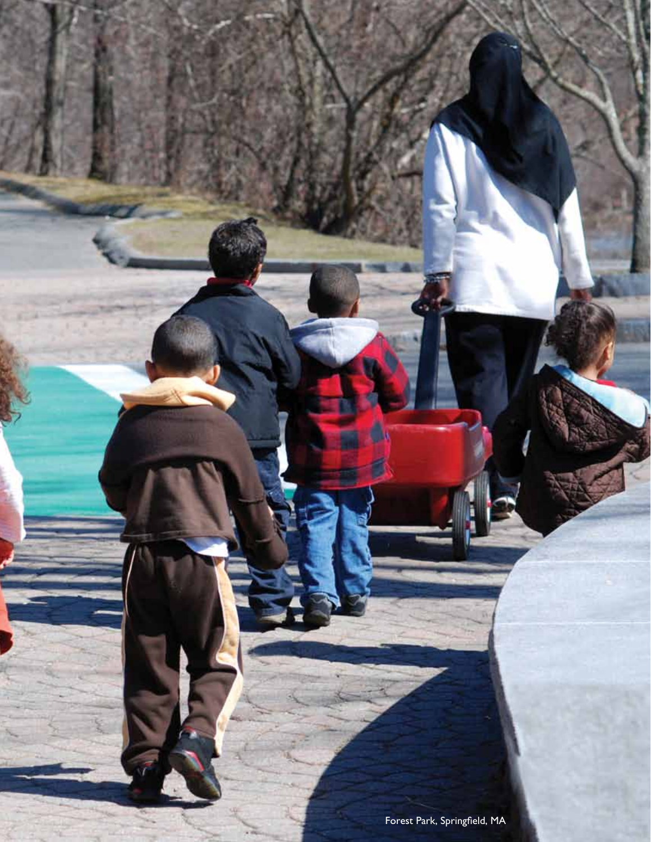Forest Park, Springfield, MA

Federal Reserve Bank of Boston 19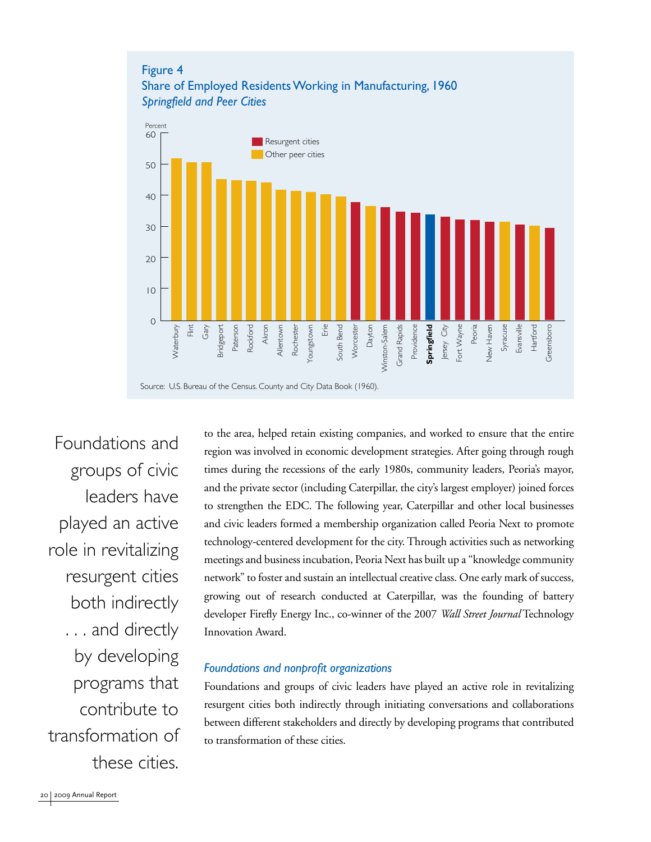

Foundations and groups of civic leaders have played an active role in revitalizing resurgent cities both indirectly . . . and directly by developing programs that contribute to transformation of these cities.

to the area, helped retain existing companies, and worked to ensure that the entire region was involved in economic development strategies. After going through rough times during the recessions of the early 1980s, community leaders, Peoria's mayor, and the private sector (including Caterpillar, the city's largest employer) joined forces to strengthen the EDC. The following year, Caterpillar and other local businesses and civic leaders formed a membership organization called Peoria Next to promote technology-centered development for the city. Through activities such as networking meetings and business incubation, Peoria Next has built up a "knowledge community network" to foster and sustain an intellectual creative class. One early mark of success, growing out of research conducted at Caterpillar, was the founding of battery developer Firefly Energy Inc., co-winner of the 2007 *Wall Street Journal* Technology Innovation Award.

#### *Foundations and nonprofit organizations*

Foundations and groups of civic leaders have played an active role in revitalizing resurgent cities both indirectly through initiating conversations and collaborations between different stakeholders and directly by developing programs that contributed to transformation of these cities.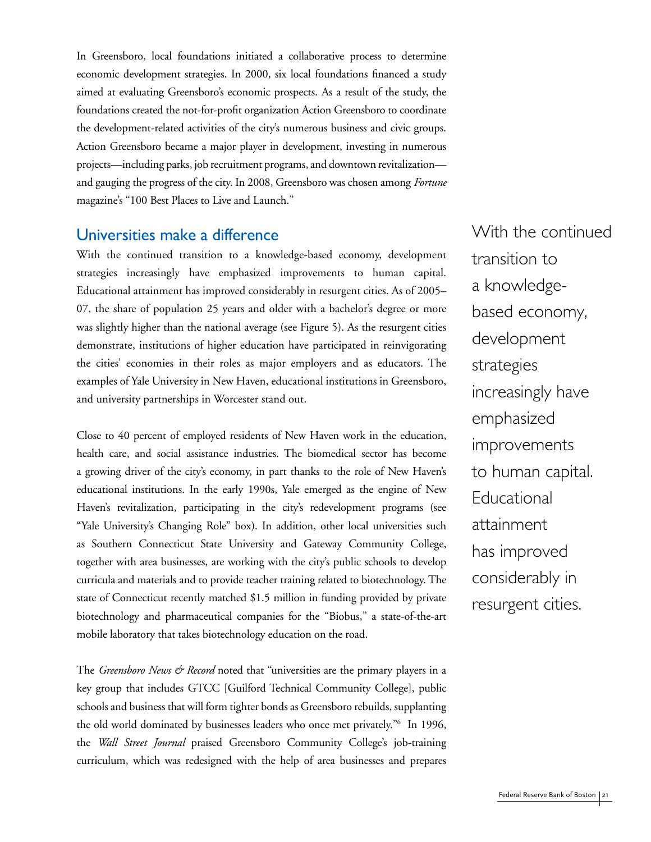In Greensboro, local foundations initiated a collaborative process to determine economic development strategies. In 2000, six local foundations financed a study aimed at evaluating Greensboro's economic prospects. As a result of the study, the foundations created the not-for-profit organization Action Greensboro to coordinate the development-related activities of the city's numerous business and civic groups. Action Greensboro became a major player in development, investing in numerous projects—including parks, job recruitment programs, and downtown revitalization and gauging the progress of the city. In 2008, Greensboro was chosen among *Fortune*  magazine's "100 Best Places to Live and Launch."

### Universities make a difference

With the continued transition to a knowledge-based economy, development strategies increasingly have emphasized improvements to human capital. Educational attainment has improved considerably in resurgent cities. As of 2005– 07, the share of population 25 years and older with a bachelor's degree or more was slightly higher than the national average (see Figure 5). As the resurgent cities demonstrate, institutions of higher education have participated in reinvigorating the cities' economies in their roles as major employers and as educators. The examples of Yale University in New Haven, educational institutions in Greensboro, and university partnerships in Worcester stand out.

Close to 40 percent of employed residents of New Haven work in the education, health care, and social assistance industries. The biomedical sector has become a growing driver of the city's economy, in part thanks to the role of New Haven's educational institutions. In the early 1990s, Yale emerged as the engine of New Haven's revitalization, participating in the city's redevelopment programs (see "Yale University's Changing Role" box). In addition, other local universities such as Southern Connecticut State University and Gateway Community College, together with area businesses, are working with the city's public schools to develop curricula and materials and to provide teacher training related to biotechnology. The state of Connecticut recently matched \$1.5 million in funding provided by private biotechnology and pharmaceutical companies for the "Biobus," a state-of-the-art mobile laboratory that takes biotechnology education on the road.

The *Greensboro News & Record* noted that "universities are the primary players in a key group that includes GTCC [Guilford Technical Community College], public schools and business that will form tighter bonds as Greensboro rebuilds, supplanting the old world dominated by businesses leaders who once met privately."6 In 1996, the *Wall Street Journal* praised Greensboro Community College's job-training curriculum, which was redesigned with the help of area businesses and prepares

With the continued transition to a knowledgebased economy, development strategies increasingly have emphasized improvements to human capital. Educational attainment has improved considerably in resurgent cities.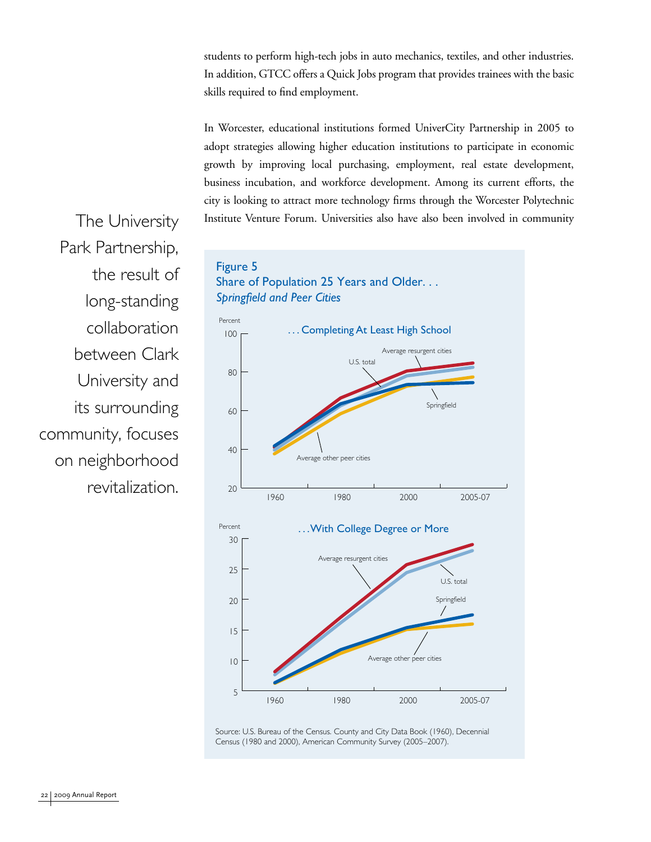students to perform high-tech jobs in auto mechanics, textiles, and other industries. In addition, GTCC offers a Quick Jobs program that provides trainees with the basic skills required to find employment.

In Worcester, educational institutions formed UniverCity Partnership in 2005 to adopt strategies allowing higher education institutions to participate in economic growth by improving local purchasing, employment, real estate development, business incubation, and workforce development. Among its current efforts, the city is looking to attract more technology firms through the Worcester Polytechnic The University Institute Venture Forum. Universities also have also been involved in community

Park Partnership, the result of long-standing collaboration between Clark University and its surrounding community, focuses on neighborhood revitalization.



Source: U.S. Bureau of the Census. County and City Data Book (1960), Decennial Census (1980 and 2000), American Community Survey (2005–2007).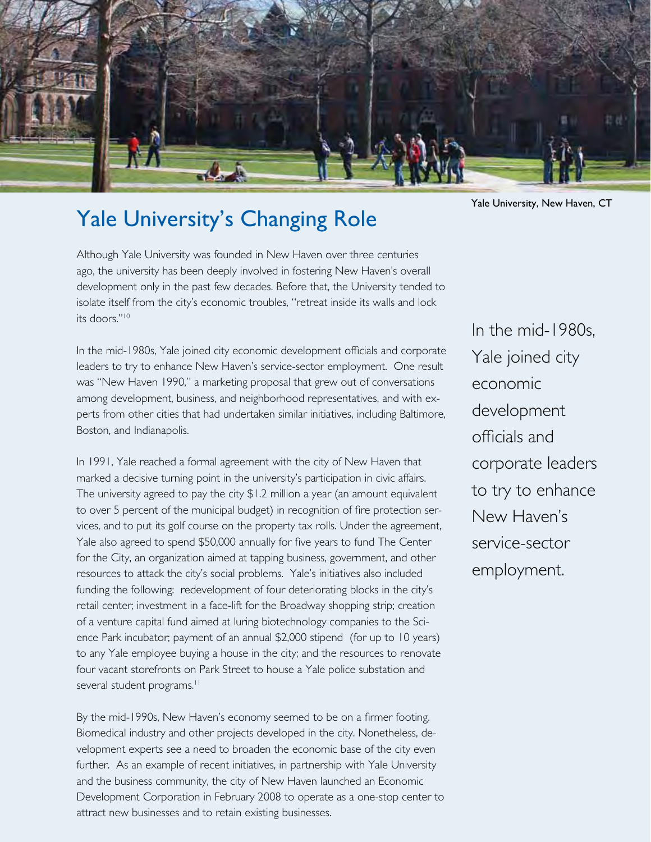

# Yale University's Changing Role

Although Yale University was founded in New Haven over three centuries ago, the university has been deeply involved in fostering New Haven's overall development only in the past few decades. Before that, the University tended to isolate itself from the city's economic troubles, "retreat inside its walls and lock its doors."10

In the mid-1980s, Yale joined city economic development officials and corporate leaders to try to enhance New Haven's service-sector employment. One result was "New Haven 1990," a marketing proposal that grew out of conversations among development, business, and neighborhood representatives, and with experts from other cities that had undertaken similar initiatives, including Baltimore, Boston, and Indianapolis.

In 1991, Yale reached a formal agreement with the city of New Haven that marked a decisive turning point in the university's participation in civic affairs. The university agreed to pay the city \$1.2 million a year (an amount equivalent to over 5 percent of the municipal budget) in recognition of fire protection services, and to put its golf course on the property tax rolls. Under the agreement, Yale also agreed to spend \$50,000 annually for five years to fund The Center for the City, an organization aimed at tapping business, government, and other resources to attack the city's social problems. Yale's initiatives also included funding the following: redevelopment of four deteriorating blocks in the city's retail center; investment in a face-lift for the Broadway shopping strip; creation of a venture capital fund aimed at luring biotechnology companies to the Science Park incubator; payment of an annual \$2,000 stipend (for up to 10 years) to any Yale employee buying a house in the city; and the resources to renovate four vacant storefronts on Park Street to house a Yale police substation and several student programs.<sup>11</sup>

By the mid-1990s, New Haven's economy seemed to be on a firmer footing. Biomedical industry and other projects developed in the city. Nonetheless, development experts see a need to broaden the economic base of the city even further. As an example of recent initiatives, in partnership with Yale University and the business community, the city of New Haven launched an Economic Development Corporation in February 2008 to operate as a one-stop center to attract new businesses and to retain existing businesses.

Yale University, New Haven, CT

In the mid-1980s, Yale joined city economic development officials and corporate leaders to try to enhance New Haven's service-sector employment.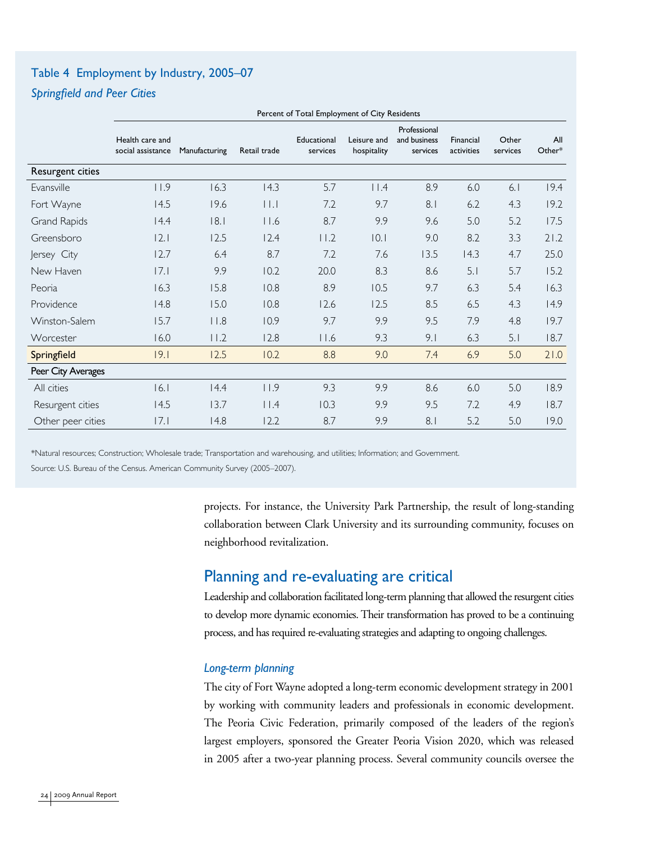# Table 4 Employment by Industry, 2005–07

### *Springfield and Peer Cities*

|                     | Percent of Total Employment of City Residents |               |              |                         |                            |                                          |                         |                   |               |
|---------------------|-----------------------------------------------|---------------|--------------|-------------------------|----------------------------|------------------------------------------|-------------------------|-------------------|---------------|
|                     | Health care and<br>social assistance          | Manufacturing | Retail trade | Educational<br>services | Leisure and<br>hospitality | Professional<br>and business<br>services | Financial<br>activities | Other<br>services | All<br>Other* |
| Resurgent cities    |                                               |               |              |                         |                            |                                          |                         |                   |               |
| Evansville          | 11.9                                          | 16.3          | 14.3         | 5.7                     | $ $   $.4$                 | 8.9                                      | 6.0                     | 6.1               | 19.4          |
| Fort Wayne          | 14.5                                          | 19.6          | $  \  $      | 7.2                     | 9.7                        | 8.1                                      | 6.2                     | 4.3               | 19.2          |
| <b>Grand Rapids</b> | 4.4                                           | 8.1           | $ $ $ $ .6   | 8.7                     | 9.9                        | 9.6                                      | 5.0                     | 5.2               | 17.5          |
| Greensboro          | 2.1                                           | 12.5          | 12.4         | 11.2                    | 0.1                        | 9.0                                      | 8.2                     | 3.3               | 21.2          |
| Jersey City         | 12.7                                          | 6.4           | 8.7          | 7.2                     | 7.6                        | 13.5                                     | 14.3                    | 4.7               | 25.0          |
| New Haven           | 7.1                                           | 9.9           | 10.2         | 20.0                    | 8.3                        | 8.6                                      | 5.1                     | 5.7               | 15.2          |
| Peoria              | 16.3                                          | 15.8          | 10.8         | 8.9                     | 10.5                       | 9.7                                      | 6.3                     | 5.4               | 16.3          |
| Providence          | 14.8                                          | 15.0          | 10.8         | 12.6                    | 12.5                       | 8.5                                      | 6.5                     | 4.3               | 14.9          |
| Winston-Salem       | 15.7                                          | $ $ $ $ .8    | 10.9         | 9.7                     | 9.9                        | 9.5                                      | 7.9                     | 4.8               | 19.7          |
| Worcester           | 16.0                                          | 11.2          | 12.8         | 11.6                    | 9.3                        | 9.1                                      | 6.3                     | 5.1               | 18.7          |
| Springfield         | 19.1                                          | 12.5          | 10.2         | 8.8                     | 9.0                        | 7.4                                      | 6.9                     | 5.0               | 21.0          |
| Peer City Averages  |                                               |               |              |                         |                            |                                          |                         |                   |               |
| All cities          | 16.1                                          | 14.4          | 11.9         | 9.3                     | 9.9                        | 8.6                                      | 6.0                     | 5.0               | 18.9          |
| Resurgent cities    | 14.5                                          | 13.7          | $ $ $ $ .4   | 10.3                    | 9.9                        | 9.5                                      | 7.2                     | 4.9               | 18.7          |
| Other peer cities   | 17.I                                          | 14.8          | 12.2         | 8.7                     | 9.9                        | 8.1                                      | 5.2                     | 5.0               | 19.0          |

\*Natural resources; Construction; Wholesale trade; Transportation and warehousing, and utilities; Information; and Government. Source: U.S. Bureau of the Census. American Community Survey (2005–2007).

> projects. For instance, the University Park Partnership, the result of long-standing collaboration between Clark University and its surrounding community, focuses on neighborhood revitalization.

# Planning and re-evaluating are critical

Leadership and collaboration facilitated long-term planning that allowed the resurgent cities to develop more dynamic economies. Their transformation has proved to be a continuing process, and has required re-evaluating strategies and adapting to ongoing challenges.

### *Long-term planning*

The city of Fort Wayne adopted a long-term economic development strategy in 2001 by working with community leaders and professionals in economic development. The Peoria Civic Federation, primarily composed of the leaders of the region's largest employers, sponsored the Greater Peoria Vision 2020, which was released in 2005 after a two-year planning process. Several community councils oversee the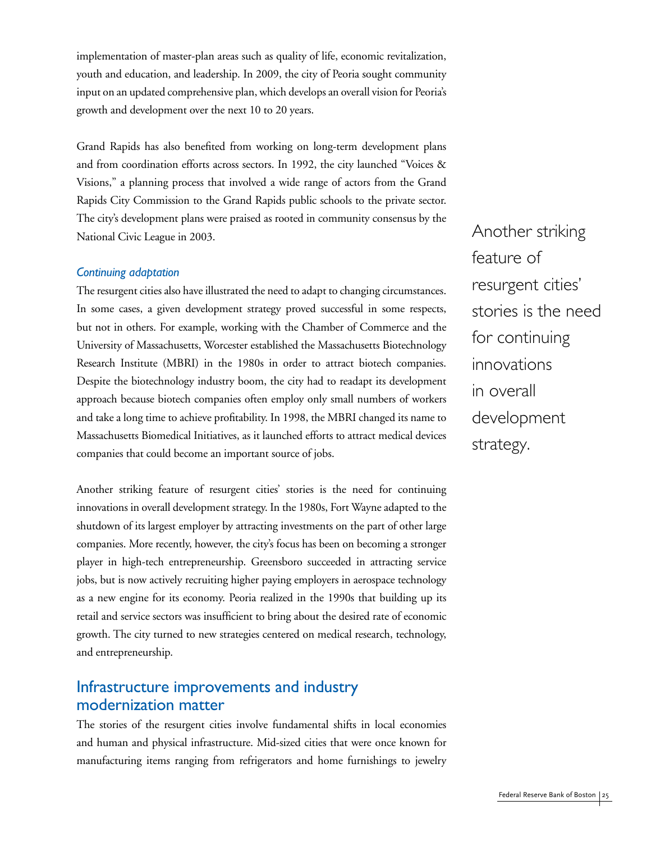implementation of master-plan areas such as quality of life, economic revitalization, youth and education, and leadership. In 2009, the city of Peoria sought community input on an updated comprehensive plan, which develops an overall vision for Peoria's growth and development over the next 10 to 20 years.

Grand Rapids has also benefited from working on long-term development plans and from coordination efforts across sectors. In 1992, the city launched "Voices & Visions," a planning process that involved a wide range of actors from the Grand Rapids City Commission to the Grand Rapids public schools to the private sector. The city's development plans were praised as rooted in community consensus by the National Civic League in 2003.

#### *Continuing adaptation*

The resurgent cities also have illustrated the need to adapt to changing circumstances. In some cases, a given development strategy proved successful in some respects, but not in others. For example, working with the Chamber of Commerce and the University of Massachusetts, Worcester established the Massachusetts Biotechnology Research Institute (MBRI) in the 1980s in order to attract biotech companies. Despite the biotechnology industry boom, the city had to readapt its development approach because biotech companies often employ only small numbers of workers and take a long time to achieve profitability. In 1998, the MBRI changed its name to Massachusetts Biomedical Initiatives, as it launched efforts to attract medical devices companies that could become an important source of jobs.

Another striking feature of resurgent cities' stories is the need for continuing innovations in overall development strategy. In the 1980s, Fort Wayne adapted to the shutdown of its largest employer by attracting investments on the part of other large companies. More recently, however, the city's focus has been on becoming a stronger player in high-tech entrepreneurship. Greensboro succeeded in attracting service jobs, but is now actively recruiting higher paying employers in aerospace technology as a new engine for its economy. Peoria realized in the 1990s that building up its retail and service sectors was insufficient to bring about the desired rate of economic growth. The city turned to new strategies centered on medical research, technology, and entrepreneurship.

## Infrastructure improvements and industry modernization matter

The stories of the resurgent cities involve fundamental shifts in local economies and human and physical infrastructure. Mid-sized cities that were once known for manufacturing items ranging from refrigerators and home furnishings to jewelry

Another striking feature of resurgent cities' stories is the need for continuing innovations in overall development strategy.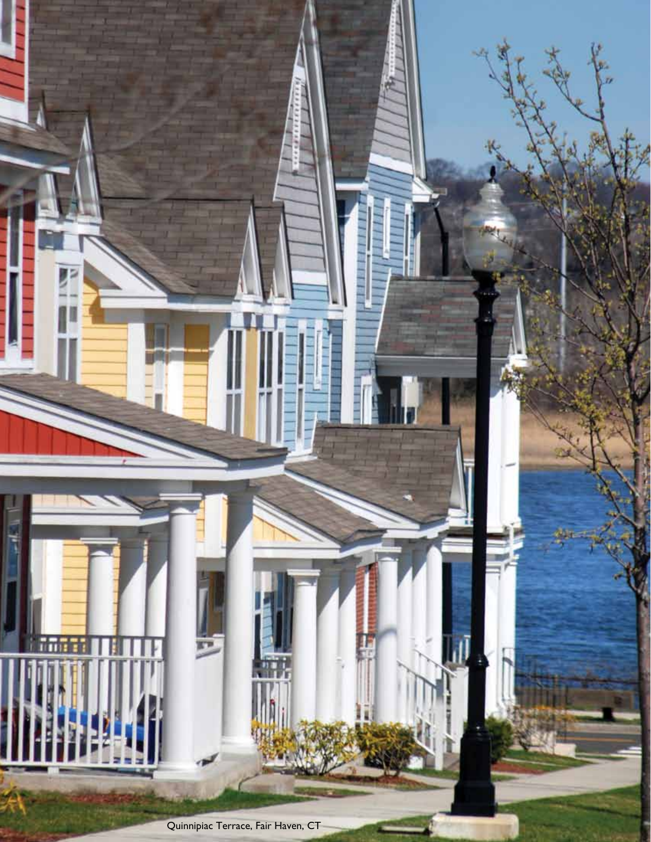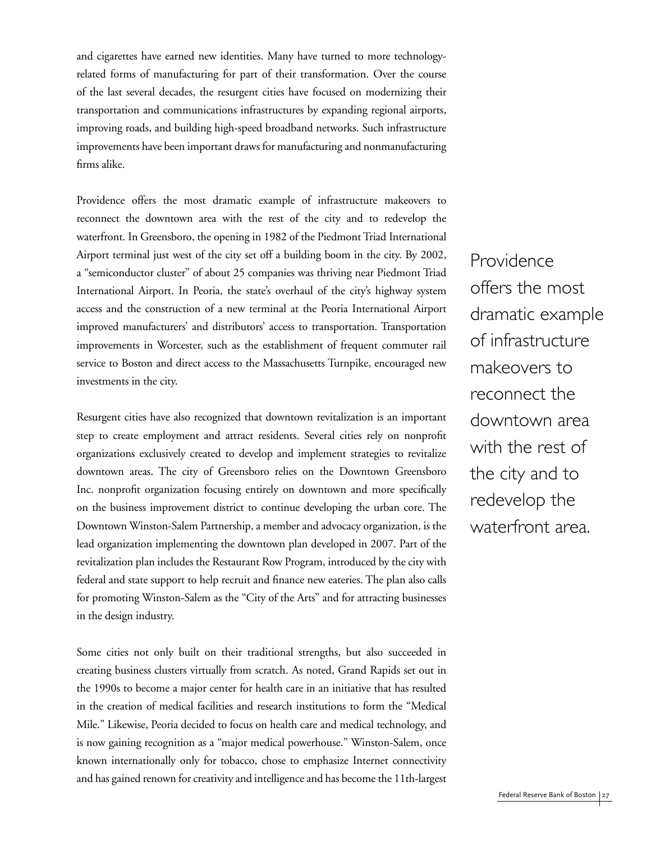and cigarettes have earned new identities. Many have turned to more technologyrelated forms of manufacturing for part of their transformation. Over the course of the last several decades, the resurgent cities have focused on modernizing their transportation and communications infrastructures by expanding regional airports, improving roads, and building high-speed broadband networks. Such infrastructure improvements have been important draws for manufacturing and nonmanufacturing firms alike.

Providence offers the most dramatic example of infrastructure makeovers to reconnect the downtown area with the rest of the city and to redevelop the waterfront. In Greensboro, the opening in 1982 of the Piedmont Triad International Airport terminal just west of the city set off a building boom in the city. By 2002, a "semiconductor cluster" of about 25 companies was thriving near Piedmont Triad International Airport. In Peoria, the state's overhaul of the city's highway system access and the construction of a new terminal at the Peoria International Airport improved manufacturers' and distributors' access to transportation. Transportation improvements in Worcester, such as the establishment of frequent commuter rail service to Boston and direct access to the Massachusetts Turnpike, encouraged new investments in the city.

Resurgent cities have also recognized that downtown revitalization is an important step to create employment and attract residents. Several cities rely on nonprofit organizations exclusively created to develop and implement strategies to revitalize downtown areas. The city of Greensboro relies on the Downtown Greensboro Inc. nonprofit organization focusing entirely on downtown and more specifically on the business improvement district to continue developing the urban core. The Downtown Winston-Salem Partnership, a member and advocacy organization, is the lead organization implementing the downtown plan developed in 2007. Part of the revitalization plan includes the Restaurant Row Program, introduced by the city with federal and state support to help recruit and finance new eateries. The plan also calls for promoting Winston-Salem as the "City of the Arts" and for attracting businesses in the design industry.

Some cities not only built on their traditional strengths, but also succeeded in creating business clusters virtually from scratch. As noted, Grand Rapids set out in the 1990s to become a major center for health care in an initiative that has resulted in the creation of medical facilities and research institutions to form the "Medical Mile." Likewise, Peoria decided to focus on health care and medical technology, and is now gaining recognition as a "major medical powerhouse." Winston-Salem, once known internationally only for tobacco, chose to emphasize Internet connectivity and has gained renown for creativity and intelligence and has become the 11th-largest

Providence offers the most dramatic example of infrastructure makeovers to reconnect the downtown area with the rest of the city and to redevelop the waterfront area.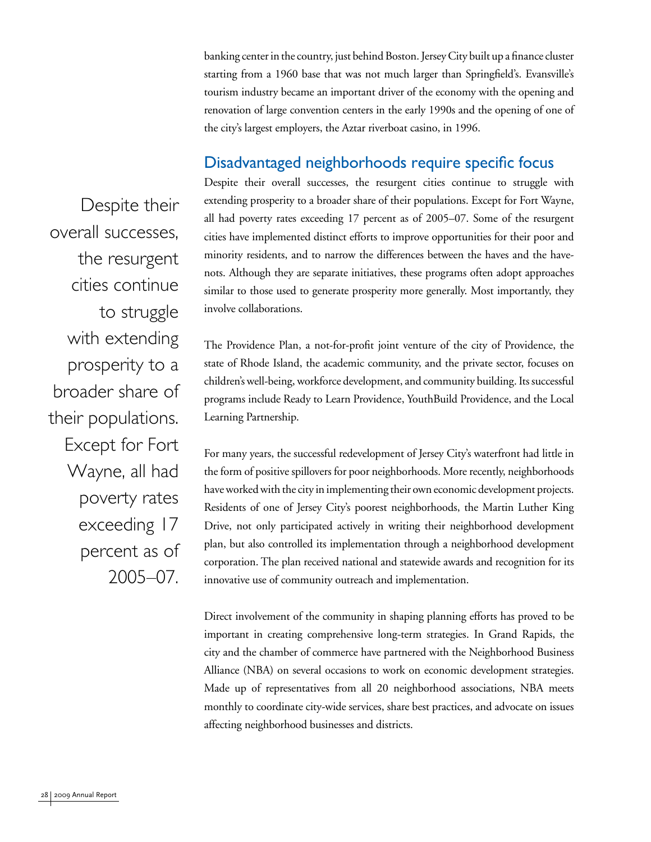banking center in the country, just behind Boston. Jersey City built up a finance cluster starting from a 1960 base that was not much larger than Springfield's. Evansville's tourism industry became an important driver of the economy with the opening and renovation of large convention centers in the early 1990s and the opening of one of the city's largest employers, the Aztar riverboat casino, in 1996.

## Disadvantaged neighborhoods require specific focus

Despite their overall successes, the resurgent cities continue to struggle with extending prosperity to a broader share of their populations. Except for Fort Wayne, all had poverty rates exceeding 17 percent as of 2005–07. Some of the resurgent cities have implemented distinct efforts to improve opportunities for their poor and minority residents, and to narrow the differences between the haves and the havenots. Although they are separate initiatives, these programs often adopt approaches similar to those used to generate prosperity more generally. Most importantly, they involve collaborations.

The Providence Plan, a not-for-profit joint venture of the city of Providence, the state of Rhode Island, the academic community, and the private sector, focuses on children's well-being, workforce development, and community building. Its successful programs include Ready to Learn Providence, YouthBuild Providence, and the Local Learning Partnership.

For many years, the successful redevelopment of Jersey City's waterfront had little in the form of positive spillovers for poor neighborhoods. More recently, neighborhoods have worked with the city in implementing their own economic development projects. Residents of one of Jersey City's poorest neighborhoods, the Martin Luther King Drive, not only participated actively in writing their neighborhood development plan, but also controlled its implementation through a neighborhood development corporation. The plan received national and statewide awards and recognition for its innovative use of community outreach and implementation.

Direct involvement of the community in shaping planning efforts has proved to be important in creating comprehensive long-term strategies. In Grand Rapids, the city and the chamber of commerce have partnered with the Neighborhood Business Alliance (NBA) on several occasions to work on economic development strategies. Made up of representatives from all 20 neighborhood associations, NBA meets monthly to coordinate city-wide services, share best practices, and advocate on issues affecting neighborhood businesses and districts.

Despite their overall successes, the resurgent cities continue to struggle with extending prosperity to a broader share of their populations. Except for Fort Wayne, all had poverty rates exceeding 17 percent as of 2005–07.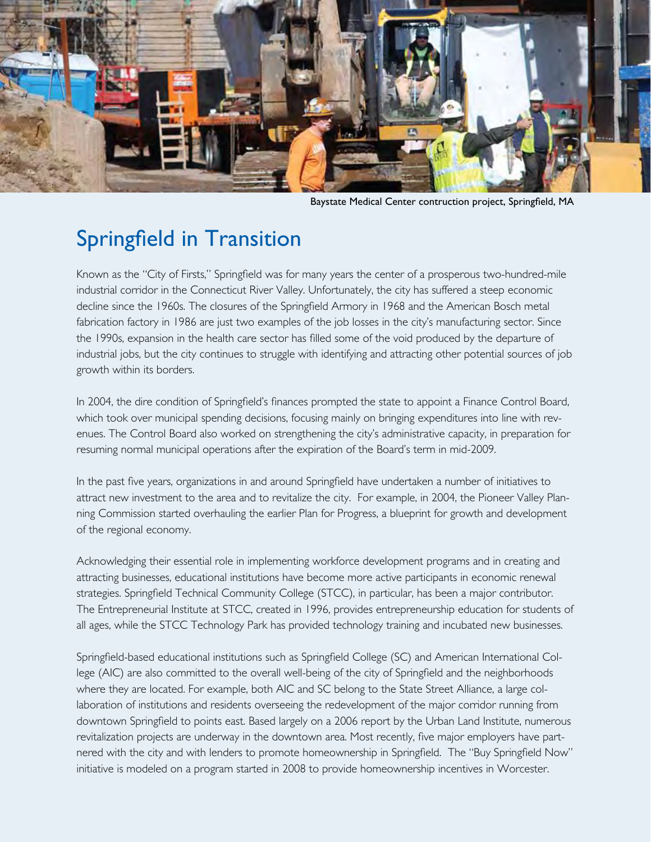

Baystate Medical Center contruction project, Springfield, MA

# Springfield in Transition

Known as the "City of Firsts," Springfield was for many years the center of a prosperous two-hundred-mile industrial corridor in the Connecticut River Valley. Unfortunately, the city has suffered a steep economic decline since the 1960s. The closures of the Springfield Armory in 1968 and the American Bosch metal fabrication factory in 1986 are just two examples of the job losses in the city's manufacturing sector. Since the 1990s, expansion in the health care sector has filled some of the void produced by the departure of industrial jobs, but the city continues to struggle with identifying and attracting other potential sources of job growth within its borders.

In 2004, the dire condition of Springfield's finances prompted the state to appoint a Finance Control Board, which took over municipal spending decisions, focusing mainly on bringing expenditures into line with revenues. The Control Board also worked on strengthening the city's administrative capacity, in preparation for resuming normal municipal operations after the expiration of the Board's term in mid-2009.

In the past five years, organizations in and around Springfield have undertaken a number of initiatives to attract new investment to the area and to revitalize the city. For example, in 2004, the Pioneer Valley Planning Commission started overhauling the earlier Plan for Progress, a blueprint for growth and development of the regional economy.

Acknowledging their essential role in implementing workforce development programs and in creating and attracting businesses, educational institutions have become more active participants in economic renewal strategies. Springfield Technical Community College (STCC), in particular, has been a major contributor. The Entrepreneurial Institute at STCC, created in 1996, provides entrepreneurship education for students of all ages, while the STCC Technology Park has provided technology training and incubated new businesses.

Springfield-based educational institutions such as Springfield College (SC) and American International College (AIC) are also committed to the overall well-being of the city of Springfield and the neighborhoods where they are located. For example, both AIC and SC belong to the State Street Alliance, a large collaboration of institutions and residents overseeing the redevelopment of the major corridor running from downtown Springfield to points east. Based largely on a 2006 report by the Urban Land Institute, numerous revitalization projects are underway in the downtown area. Most recently, five major employers have partnered with the city and with lenders to promote homeownership in Springfield. The "Buy Springfield Now" initiative is modeled on a program started in 2008 to provide homeownership incentives in Worcester.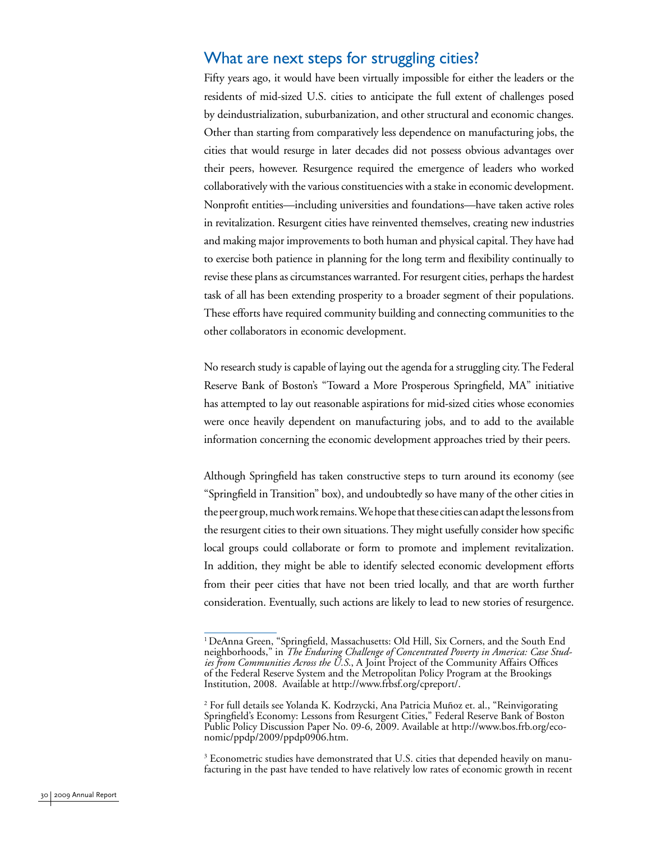## What are next steps for struggling cities?

Fifty years ago, it would have been virtually impossible for either the leaders or the residents of mid-sized U.S. cities to anticipate the full extent of challenges posed by deindustrialization, suburbanization, and other structural and economic changes. Other than starting from comparatively less dependence on manufacturing jobs, the cities that would resurge in later decades did not possess obvious advantages over their peers, however. Resurgence required the emergence of leaders who worked collaboratively with the various constituencies with a stake in economic development. Nonprofit entities—including universities and foundations—have taken active roles in revitalization. Resurgent cities have reinvented themselves, creating new industries and making major improvements to both human and physical capital. They have had to exercise both patience in planning for the long term and flexibility continually to revise these plans as circumstances warranted. For resurgent cities, perhaps the hardest task of all has been extending prosperity to a broader segment of their populations. These efforts have required community building and connecting communities to the other collaborators in economic development.

No research study is capable of laying out the agenda for a struggling city. The Federal Reserve Bank of Boston's "Toward a More Prosperous Springfield, MA" initiative has attempted to lay out reasonable aspirations for mid-sized cities whose economies were once heavily dependent on manufacturing jobs, and to add to the available information concerning the economic development approaches tried by their peers.

Although Springfield has taken constructive steps to turn around its economy (see "Springfield in Transition" box), and undoubtedly so have many of the other cities in the peer group, much work remains. We hope that these cities can adapt the lessons from the resurgent cities to their own situations. They might usefully consider how specific local groups could collaborate or form to promote and implement revitalization. In addition, they might be able to identify selected economic development efforts from their peer cities that have not been tried locally, and that are worth further consideration. Eventually, such actions are likely to lead to new stories of resurgence.

 $3$  Econometric studies have demonstrated that U.S. cities that depended heavily on manufacturing in the past have tended to have relatively low rates of economic growth in recent

<sup>&</sup>lt;sup>1</sup> DeAnna Green, "Springfield, Massachusetts: Old Hill, Six Corners, and the South End neighborhoods," in *The Enduring Challenge of Concentrated Poverty in America: Case Studies from Communities Across the U.S.*, A Joint Project of the Community Affairs Offices of the Federal Reserve System and the Metropolitan Policy Program at the Brookings Institution, 2008. Available at http://www.frbsf.org/cpreport/.

<sup>2</sup> For full details see Yolanda K. Kodrzycki, Ana Patricia Muñoz et. al., "Reinvigorating Springfield's Economy: Lessons from Resurgent Cities," Federal Reserve Bank of Boston Public Policy Discussion Paper No. 09-6, 2009. Available at http://www.bos.frb.org/economic/ppdp/2009/ppdp0906.htm.